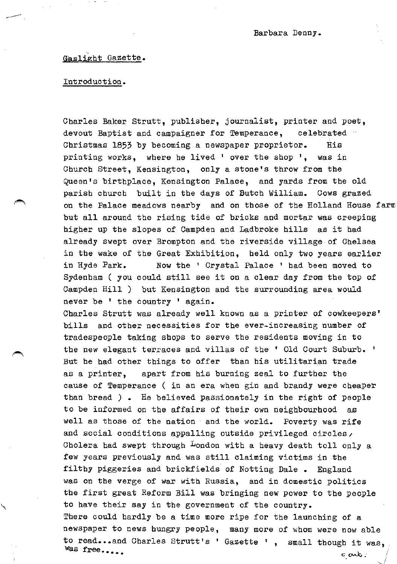# Gaslight Gazette.

#### Introduction.

Charles Baker Strutt, publisher, journalist, printer and poet, devout Baptist and campaigner for Temperance, celebrated  $\cdot$ Christmas 1853 by becoming a newspaper proprietor. His printing works, where be lived ' over the shop •, was in Church Street, Kensington, only a stone's throw from the Queen's birthplace, Kensington Palace, and yards from the old parish church built in the days of Butch William. Cows grazed on the Palace meadows nearby and on those of the Holland House farm but all around the rising tide of bricks and mortar was creeping higher up the slopes of Campden and Ladbroke hills as it had already swept over Brompton and the riverside village of Chelsea in the wake of the Great Exhibition, held only two years earlier in Hyde Park. Now the ' Crystal Palace ' had been moved to Sydenham ( you could still see it on a clear day from the top of Campden Hill ) but Kensington and the surrounding area would never be ' the country ' again.

Charles Strutt was already well known as a printer of cowkeepers' bills and other necessities for the ever-increasing number of tradespeople taking shops to serve the residents moving in to the new elegant terraces and villas of the ' Old Court Suburb. ' But he had other things to offer than his utilitarian trade as a printer, apart from his burning zeal to further the cause of Temperance ( in an era when gin and brandy were cheaper than bread *)* • He believed passionately in the right of people to be informed on the affairs of their own neighbourhood as well as those of the nation and the world. Poverty was rife and social conditions appalling outside privileged circles, Cholera had swept through London with a heavy death toll only a few years previously and was still claiming victims in the filthy piggeries and brickfields of Notting Dale • England was on the verge of war with Russia, and in domestic politics the first great Reform Bill was bringing new power to the people to have their say in the government of the country. There could hardly be a time more ripe for the launching of a newspaper to news hungry people, many more of whom were now able to read...and Charles Strutt's ' Gazette ', small though it was,  $\text{was free...} \qquad \text{and} \qquad \text{and} \qquad \text{and} \qquad \text{and} \qquad \text{and} \qquad \text{and} \qquad \text{and} \qquad \text{and} \qquad \text{and} \qquad \text{and} \qquad \text{and} \qquad \text{and} \qquad \text{and} \qquad \text{and} \qquad \text{and} \qquad \text{and} \qquad \text{and} \qquad \text{and} \qquad \text{and} \qquad \text{and} \qquad \text{and} \qquad \text{and} \qquad \text{and} \qquad \text{and} \qquad \text{and} \qquad \text{and} \qquad \text$ ,/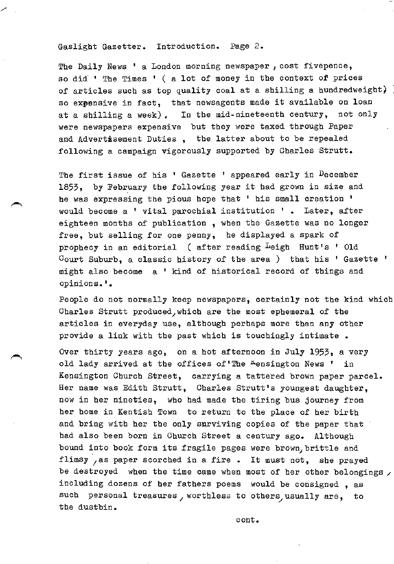#### Gaslight Gazetter. Introduction. Page 2.

The Daily News ' a London morning newspaper, cost fivepence, so did ' The Times ' ( a lot of money in the context of prices of articles such as top quality coal at a shilling a hundredweight) so expensive in fact, that newsagents made it available on loan at a shilling a week). In the mid-nineteenth century, not only were newspapers expensive but they were taxed through Paper and Advertisement Duties, the latter about to be repealed following a campaign vigorously supported by Charles Strutt.

The first issue of his ' Gazette ' appeared early in December 1853, by February the following year it bad grown in size and be was expressing the pious hope that ' his small creation ' would become a 1 vital parochial institution ' • Later, after eighteen months of publication , when the Gazette was no longer free, but selling for one penny, he displayed a spark of prophecy in an editorial ( after reading Leigh Hunt's ' Old Court Suburb, a classic history of the area ) that his ' Gazette ' might also become a 1 kind of historical record of things and opinions.'.

People do not normally keep newspapers, certainly not the kind which Charles Strutt produced, which are the most ephemeral of the articles in everyday use, although perhaps more than any other provide a link with the past which is touchingly intimate.

Over thirty years ago, on a bot afternoon in July 1953, a very old lady arrived at the offices of The Aensington News ' in Kensington Church Street, carrying a tattered brown paper parcel. Her name was Edith Strutt, Charles Strutt's youngest daughter, now in her nineties, who bad made the tiring bus journey from her home in Kentish Town to return to the place of her birth and bring with her the only surviving copies of the paper that bad also been born in Church Street a century ago. Although bound into book form its fragile pages were brown, brittle and flimsy as paper scorched in a fire. It must not, she prayed be destroyed when the time came when most of her other belongings  $\lambda$ including dozens of her fathers poems would be consigned , as such personal treasures, worthless to others, usually are, to the dustbin.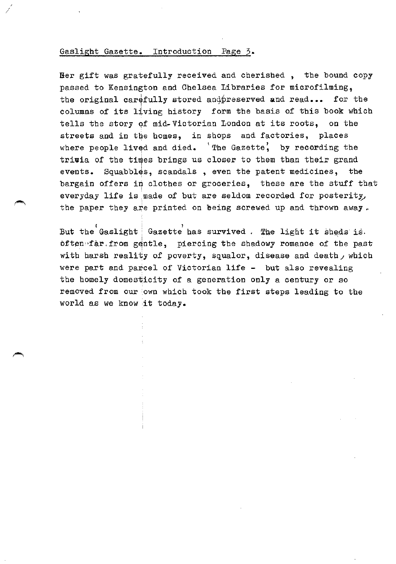#### Gaslight Gazette. Introduction Page 3.

*/* 

Her gift was gratefully received and cherished , the bound copy passed to Kensington and Chelsea Libraries for microfilming, the original carefully stored and preserved and read... for the columns of its living history form the basis of this book which tells the story of mid-Victorian London at its roots, on the streets and in the homes, in shops and factories, places where people lived and died.  $'$ The Gazette, by recording the trivia of the times brings us closer to them than their grand events. Squabbles, scandals, even the patent medicines, the bargain offers in clothes or groceries, these are the stuff that everyday life is made of but are seldom recorded for posterity, the paper they are printed on being screwed up and thrown away.

But the Gaslight  $|$  Gazette has survived . The light it sheds is.  $of the$ :far. from gentle, piercing the shadowy romance of the past with harsh reality of poverty, squalor, disease and death, which were part and parcel of Victorian life - but also revealing the homely domesticity of a generation only a century or so removed from our own which took the first steps leading to the world as we know it today.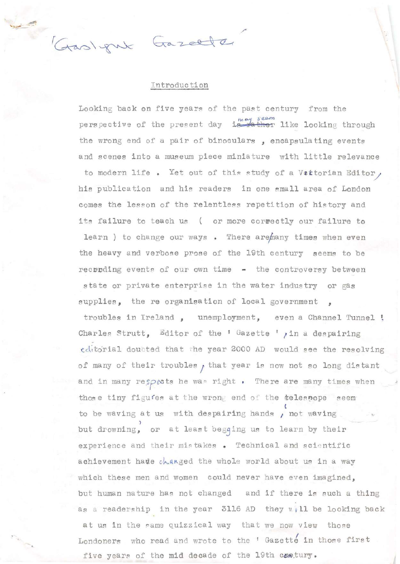Gaslynk Gazelle

#### Introduction

Looking back on five years of the past century from the perspective of the present day is ther like looking through the wrong end of a pair of binoculars , encapsulating events and scenes into a museum piece miniature with little relevance

to modern life . Yet out of this study of a Veitorian Editor, his publication and his readers in one small area of London comes the lesson of the relentless repetition of history and its failure to teach us ( or more correctly our failure to learn ) to change our ways . There are many times when even the heavy and verbose prose of the 19th century seems to be  $recvoding$  events of our own time  $-$  the controversy between state or private enterprise in the water industry or gas supplies, the re organisation of local government

troubles in Ireland , unemployment, even a Channel Tunnel ! Charles Strutt, Editor of the 'Gazette ', in a despairing editorial doubted that the year 2000 AD would see the resolving of many of their troubles  $f$  that year is now not so long distant and in many respects he was right . There are many times when those tiny figu fes at the wrong end of the telespope seem ( to be waving at us with despairing hands , not waving ) but drowning, or at least begqing us to learn by their experience and their mistakes . Technical and scientific achievement hade changed the whole world about us in a way which these men and women could never have even imagined, but human nature has not changed and if there is such a thing as a readership in the year 3116 AD they will be looking back at us in the same quizzical way that we now view those Londoners who read and wrote to the ' Gazette in those first five years of the mid decade of the 19th cantury.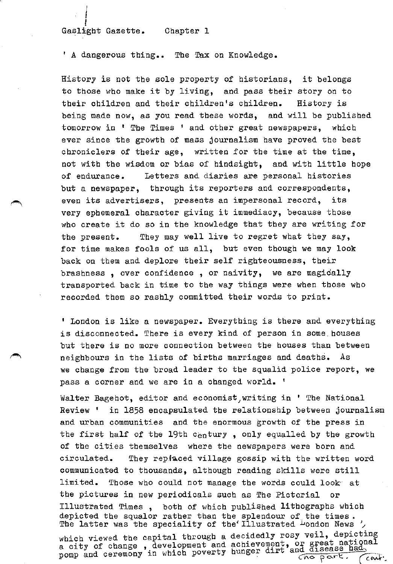## f Gaslight Gazette. Chapter 1

|<br>|<br>|

' A dangerous thing.. The Tax on Knowledge.

History is not the sole property of historians, it belongs to those who make it by living, and pass their story on to their children and their children's children. History is being made now, as you read these words, and will be published tomorrow in ' The Times ' and other great newspapers, which ever since the growth of mass journalism have proved the best chroniclers of their age, written for the time at the time, not with the wisdom or bias of hindsight, and with little hope of endurance. Letters and diaries are personal histories but a newspaper, through its reporters and correspondents, even its advertisers, presents an impersonal record, its very ephemeral character giving it immediacy, because those who create it do so in the knowledge that they are writing for the present. They may well live to regret what they say, for time makes fools of us all, but even though we may look back on them and deplore their self righteousness, their brashness , over confidence , or naivity, we are magically transported back in time to the way things were when those who recorded them so rashly committed their words to print.

' London is like a newspaper. Everything is there and everything is disconnected. There is every kind of person in some. houses but there is no more connection between the houses than between neighbours in the lists of births marriages and deaths. As we change from the broad leader to the squalid police report, we pass a corner and we are in a changed world. '

Walter Bagehot, editor and economist,writing in ' The National Review ' in 1858 encapsulated the relationship between journalism and urban communities and the enormous growth of the press in the first half of the 19th century, only equalled by the growth of the cities themselves where the newspapers were born and circulated. They replaced village gossip with the written word communicated to thousands, although reading skills were still limited. Those who could not manage the words could look· at the pictures in new periodicals such as The Pictorial or Illustrated Times, both of which published lithographs which depicted the squalor rather than the splendour of the times. The latter was the speciality of the Illustrated London News ' which viewed the capital through a decidedly rosy veil, depicting which viewed the capital viewed a chievement, or great national a city of change, development and achievement and disease had.<br>pomp and ceremony in which poverty hunger dirt and disease had.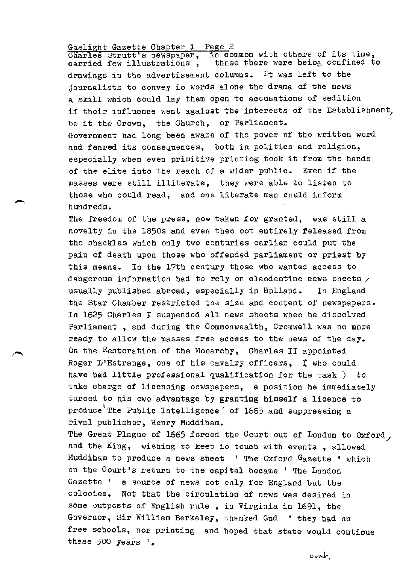Gaslight Gazette Chapter 1 Page 2<br>Charles Strutt's newspaper, in common with others of its time, carried few illustrations, those there were beiog confined to drawings in the advertisement columns. It was left to the journalists to convey io words alone the drama of the news: a skill which could lay them open to accusations of sedition if their influence went against the interests of the Establishment, be it the Crown, the Church, or Parliament. Government bad long been aware of the power of the written word and feared its consequences, both in politics and religion, especially when even primitive printiog took it from the hands of the elite into the reach of a wider public. Even if the masses were still: illiterate, they were able to listen to those who could read, and one literate man cnuld inform hundreds.

The freedom of the press, now taken for granted, was still a novelty in the 1850s and even theo oot entirely feleased from the shackles which only two centuries earlier could put the pain of death upon those who offended parliament or priest by this means. In the 17th century those who wanted access to dangerous information had to rely on claodestine news sheets  $\prime$ usually published abroad, especially in Holland. In England the Star Chamber restricted the size and content of newspapers-In 1625 Charles I suspended all news sheets wheo he dissolved Parliament, and during the Commonwealth, Cromwell was no mnre ready to allow the masses free access to the news of the day. On the Restoration of the Mooarchy, Charles II appointed Roger L'Estrange, one of his cavalry officers, t who could have had little professional qualification for the task ) to take charge of licensing oewspapers, a position he immediately turoed to his owo advantage by granting himself a licence to produce The Public Intelligence of 1663 and suppressing a rival publisher, Henry Muddiham.

The Great Plague of 1665 forced the Court out of London to Oxford, and the King, wishing to keep io touch with events, allowed Muddiham to produce a news sheet ' The Oxford Gazette ' which on the Court's return to the capital became ' The London Gazette ' a source of news not only for England but the colonies. Not that the circulation of news was desired in some vutposts of English rule , in Virginia in 1691, the Governor, Sir William Berkeley, thanked God ' they bad no free schools, nor printing and hoped that state would contioue these 300 years '.

cart.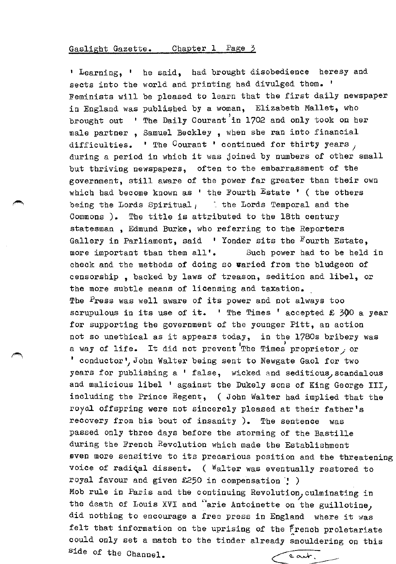' Learning, ' he said, bad brought disobedience heresy and sects into the world and printing had divulged them. Feminists will be pleased to learn that the first daily newspaper in England was published by a woman, Elizabeth Mallet, who brought out ' The Daily Courant in 1702 and only took on her male partner , Samuel Beckley , when she ran into financial difficulties. ' The Courant ' continued for thirty years  $_1$ during a period in which it was joined by numbers of other small but thriving newspapers, often to the embarrassment of the government, still aware of the power far greater than their own which had become known as  $'$  the Fourth Estate  $'$  (the others being the Lords Spiritual,  $\qquad$  the Lords Temporal and the Commons ). The title is attributed to the 18th century statesman , Edmund Burke, who referring to the Reporters Gallery in Parliament, said  $\blacksquare$  Yonder sits the Fourth Estate, more important than them all'. Such power had to be held in check and the methods of doing so varied from the bludgeon of censorship , backed by laws of treason, sedition and libel, or the more subtle means of licensing and taxation. The Press was well aware of its power and not always too scrupulous in its use of it.  $'$  The Times ' accepted £ 300 a year for supporting the government of the younger Pitt, an action not so unethical as it appears today, in the 1780s bribery was a way of life. It did not prevent The Times proprietor, or 1 conductor 1/ John Walter being sent to Newgate Gaol for two years for publishing a ' false, wicked and seditious, scandalous and malicious libel ' against the Dukely sons of King George III, including the Prince Regent, ( John Walter had implied that the roya2 offspring were not sincerely pleased at their father's recovery from his bout of insanity ). The sentence was passed only three days before the storming of the Bastille during the French Revolution which made the Establishment even more sensitive to its precarious position and the threatening voice of radiçal dissent. ( Walter was eventually restored to royal favour and given  $£250$  in compensation  $\cdot$  ) Mob rule in Paris and the continuing Revolution, culminating in the death of Louis XVI and "arie Antoinette on the guillotine, did nothing to encourage a free press in England where it was felt that information on the uprising of the french proletariate could only set a match to the tinder already smouldering on this side of the Channel. cart.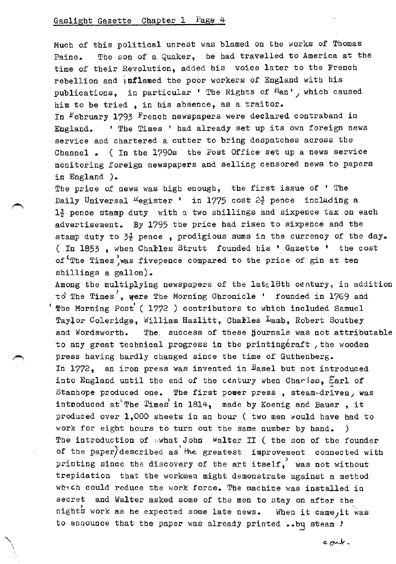"\ \

Much of this political unrest was blamed on the works of Thomas Paine. The son of a Quaker, he had travelled to America at the time of their Revolution, added his voice later to the French rebellion and inflamed the poor workers of England with his publications, in particular ' The Rights of  $M_{an}$ , which caused him to be tried , in his absence, as a traitor.

In February 1793 French newspapers were declared contraband in England. ' The Times ' had already set up its own foreign news service and chartered a cutter to bring despatches across the Channel • ( In the 1790s the Post Office set up a news service monitoring foreign newspapers and selling censored news to papers in England ).

The price of news was high enough, the first issue of ' The Daily Universal <sup>R</sup>egister ' in 1775 cost 2<sup>1</sup> pence including a  $1\frac{1}{2}$  pence stamp duty with a two shillings and sixpence tax on each advertisement. By 1795 the price had risen to sixpence and the stamp duty to *3i* pence , prodigious sums in the currency of the day. ( In 1853, when Charles Strutt founded his ' Gazette ' the cost of <sup>c</sup>The Times was fivepence compared to the price of gin at ten shillings a gallon).

Among the multiplying newspapers of the latal8th century, in addition to The Times', were The Morning Chronicle ' founded in 1769 and  $'$  The Morning Post' (1772 ) contributors to which included Samuel Taylor Coleridge, William Hazlitt, Charles Lamb, Robert Southey and Wordsworth. The success of these hournals was not attributable to any great technical progress in the printing craft, the wooden press having hardly changed since the time of Gutbenberg. In 1772, an iron press was invented in Basel but not introduced into England until the end of the century when Charles,  $\text{Earl of }$ Stanhope produced one. The first power press, steam-driven, was introduced at The Times in  $1814$ , made by Koenig and Bauer, it produced over 1,000 sheets in an hour ( two men would have had to work for eight hours to turn out the same number by band. ) The introduction of wwhat John Walter II ( the son of the founder of the paper) described as the greatest improvement connected with printing since the discovery of the art itself,' was not without trepidation that the workmen might demonstrate against a method which could reduce the work force. The machine was installed in secret and Walter asked some of the men to stay on after the  $\frac{1}{2}$  is work as he expected some late news. When it came, it to announce that the paper was already printed ..bu steam / When it came, it was

cont.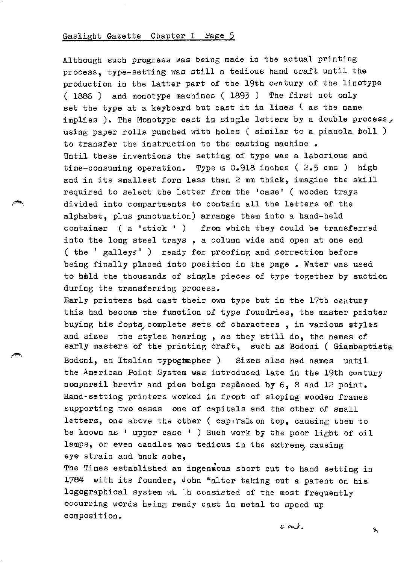Although such progress was being made in the actual printing process, type-setting was still a tedious band craft until the production in the latter part of the 19th century of the linotype ( 1886 ) and monotype machines ( 1893 ) The first not only set the type at a keyboard but cast it in lines  $\zeta$  as the name implies ). The Monotype cast in single letters by a double process, using paper rolls punched with holes ( similar to a pianola toll ) to transfer the instruction to the casting machine • Until these inventions the setting of type was a laborious and time-consuming operation. Type •s 0.918 inches ( 2.5 ems ) high and in its smallest form less than 2 mm thick, imagine the skill required to select the letter from the 'case' ( wooden trays divided into compartments to contain all the letters of the alphabet, plus punctuation) arrange them into a band-held container ( a 'stick 1 ) from which they could be transferred into the long steel trays , a column wide and open at one end ( the ' galleys' ) ready for proofing and correction before being finally placed into position in the page. Water was used to hold the thousands of single pieces of type together by suction during the transferring process.

Early printers had cast their own type but in the 17th century this had become the function of type foundries, the master printer buying his fonts, complete sets of characters, in various styles and sizes the styles bearing , as they still do, the names of early masters of the printing craft, such as Bodoni ( Giambaptista

Bodoni, an Italian typogtapber ) Sizes also had names until the American Point System was introduced late in the 19th century nonpareil brevir and pica beign replaced by 6, 8 and 12 point. Hand-setting printers worked in front of sloping wooden frames supporting two cases one of capitals and the other of small letters, one above the other ( cap $\iota$  rals on top, causing them to be known as ' upper case ' ) Such work by the poor light of oil lamps, or even candles was tedious in the extreme causing eye strain and back ache,

The Times established an ingenwous short cut to hand setting in 1784 with its founder, John Walter taking out a patent on his logograpbical system wL ·.h consisted of the most frequently occurring words being ready cast in metal to speed up composition.

*c* ovJ.

Ý.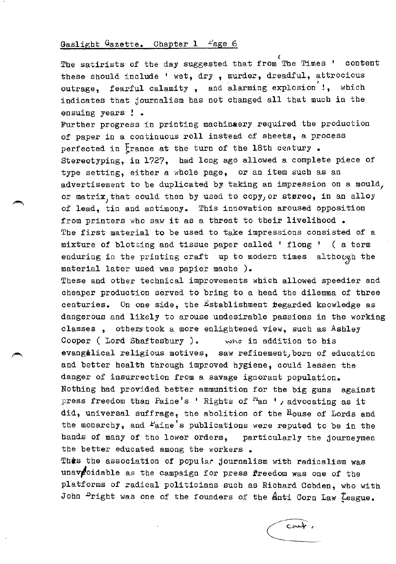# Gaslight Gazette. Chapter 1  $r_{\text{age }6}$

( The satirists of the day suggested that from The Times -1 content these should include ' wet, dry, murder, dreadful, attrocious outrage, fearful calamity, and alarming explosion<sup>'</sup>!, which indicates that journalism has not changed all that much in the ensuing years ! .

Further progress in printing machinaery required the production of paper in a continuous roll instead of sheets, a process perfected in  $\frac{1}{2}$  rance at the turn of the 18th century. Stereotyping, in 1727, had long ago allowed a complete piece of type setting, either a whole page, or an item such as an advertisement to be duplicated by taking an impression on a mould, or matrix, that could then by used to copy, or stereo, in an alloy of lead, tin and antimony. This innovation aroused opposition from printers who saw it as a threat to their livelihood. The first material to be used to take impressions consisted of a mixture of blotting and tissue paper called  $!$  flong  $!$  ( a term enduring in the printing craft up to modern times although the material later used was papier mache ).

These and other technical improvements which allowed speedier and cheaper production served to bring to a head the dilemma of three centuries. On one side, the Establishment regarded knowledge as dangerous and likely to arouse undesirable passions in the working classes , otherstook a more enlightened view, such as Ashley Cooper (Lord Shaftesbury ).  $\qquad$  who in addition to his evangulical religious motives, saw refinement, born of education and better health through improved hygiene, could lessen the danger of insurrection from a savage ignorant population. Nothing had provided better ammunition for the big guns against press freedom than Paine's ' Rights of <sup>Fi</sup>an ', advocating as it did, universal suffrage, the abolition of the House of Lords and the monarchy, and <sup>P</sup>aine's publications were reputed to be in the hands of many of the lower orders, particularly the journeymen the better educated among the workers.

Thes the association of popular journalism with radicalism was unav cidable as the campaign for press freedom was one of the platforms of radical politicians such as Richard Cobden, who with John  $^{D}$ right was one of the founders of the  $A$ nti Corn Law  $\zeta$ eague.

 $cov\leftarrow$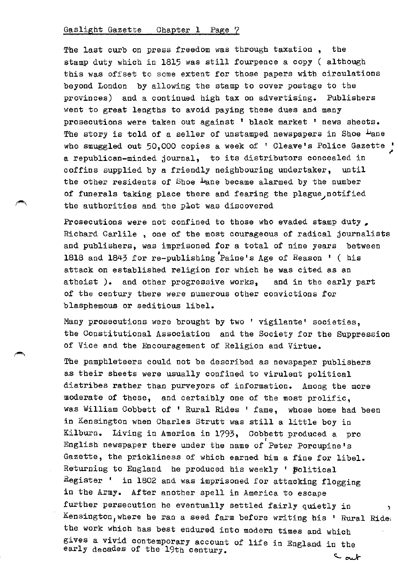The last curb on press freedom was through taxation , the stamp duty which in 1815 was still fourpence a copy ( although this was offset to some extent for those papers with circulations beyond London by allowing the stamp to cover postage to the provinces) and a continued high tax on advertising. Publishers went to great lengths to avoid paying these dues and many prosecutions were taken out against ' black market ' news sheets. The story is told of a seller of unstamped newspapers in Shoe Lane who smuggled out 50,000 copies a week of ' Cleave's Police Gazette ' ~ a republican-minded journal, to its distributors concealed in coffins supplied by a friendly neighbouring undertaker, until the other residents of Shoe Lane became alarmed by the number of funerals taking place there and fearing the plague notified the authorities and the plot was discovered

Prosecutions were not confined to those who evaded stamp duty, Richard Carlile , one of the most courageous of radical journalists and publishers, was imprisoned for a total of nine years between 1818 and 1843 for re-publishing Paine's Age of Reason ' ( his attack on established religion for which be was cited as an atheist ). and other progressive works, and in the early part of the century there were numerous other convictions for blasphemous or seditious libel.

Many prosecutions were brought by two ' vigilante' societies, the Constitutional Association and the Society for the Suppression of Vice and the Encouragement of Religion and Virtue.

The pamphleteers could not be described as newspaper publishers as their sheets were usually confined to virulent political diatribes rather than purveyors of information. Among the more moderate of these, and certaibly one of the most prolific, was William Cobbett of ' Rural Rides ' fame, whose home had been in Kensington when Charles Strutt was still a little boy in Kilburn. Living in America in 1793, Cobbett produced a pro English newspaper there under the name of Peter Porcupine's Gazette, the prickliness of which earned him a fine for libel. Returning to England he produced his weekly ' Political Register  $^{\dagger}$  in 1802 and was imprisoned for attacking flogging in the Army. After another spell in America to escape further persecution he eventually settled fairly quietly in Kensington, where he ran a seed farm before writing his ' Rural Ride: the work which has best endured into modern times and which gives a vivid contemporary account of life in England in the early decades of the 19th century.  $\sim$  out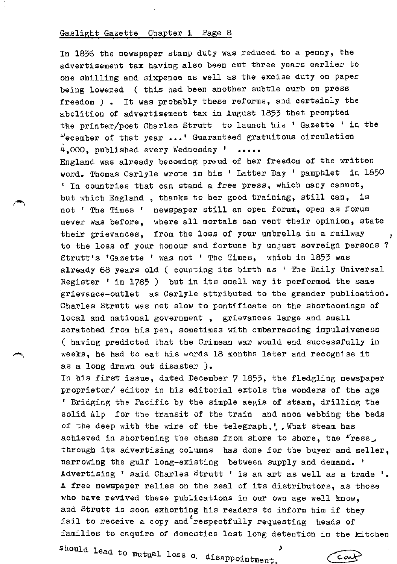In 1836 the newspaper stamp duty was reduced to a penny, the advertisement tax having also been cut three years earlier to one shilling and sixpence as well as the excise duty on paper being lowered ( this had been another subtle curb on press freedom *)* • It was probably these reforms, and certainly the abolition of advertisement tax in August 1853 that prompted the printer/poet Charles Strutt to launch his ' Gazette ' in the  $\mu$ ecember of that year ...' Guaranteed gratuitous circulation 4,000, published every Wednesday ' ..... England was already becoming proud of her freedom of the written word. Thomas Carlyle wrote in his ' Latter Day ' pamphlet in 1850 ' In countries that can stand a free press, which many cannot, but which England , thanks to her good training, still can, is not 1 The Times ' newspaper still an open forum, open as forum never was before, where all mortals can vent their opinion, state their grievances, from the loss of your umbrella in a railway to the loss of your honour and fortune by unjust sovreign persons ? Strutt's 'Gazette ' was not ' The Times, which in 1853 was already 68 years old ( counting its birth as ' The Daily Universal Register ' in 1785 ) but in its small way it performed the same grievance-outlet as Carlyle attributed to the grander publication. Charles Strutt was not slow to pontificate on the shortcomings of local and national government , grievances large and small scratched from his pen, sometimes with embarrassing impulsiveness ( having predicted that the Crimean war would end successfully in weeks, he had to eat his words 18 months later and recognise it as a long drawn out disaster ). In his first issue, dated December 7 1853, the fledgling newspaper proprietor/ editor in his editorial extols the wonders of the age <sup>1</sup> Bridging the Pacific by the simple aegis of steam, drilling the solid Alp for the transit of the train and anon webbing the beds of the deep with the wire of the telegraph,', What steam has achieved in shortening the chasm from shore to shore, the  $r$ ress, through its advertising columns has done for the buyer and seller, narrowing the gulf long-existing between supply and demand. ' Advertising ' said Charles Strutt ' is an art as well as a trade '. A free newspaper relies on the zeal of its distributors, as those who have revived these publications in our own age well know, and Strutt is soon exhorting his readers to inform him if they fail to receive a copy and respectfully requesting heads of families to enquire of domestics lest long detention in the kitchen :

should lead to mutual loss o. disappointment

TCark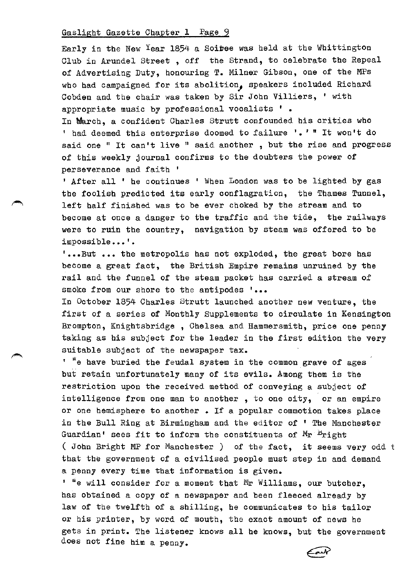Early in the New Year 1854 a Soiree was held at the Whittington Club in Arundel Street , off the Strand, to celebrate the Repeal of Advertising Duty, honouring T. Milner Gibson, one of the MPs who had campaigned for its abolition, speakers included Richard Cobden and the chair was taken by Sir John Villiers, ' with appropriate music by professional vocalists '.

In March, a confident Charles Strutt confounded his critics who ' had deemed this enterprise doomed to failure  $! \cdot 1 \cdot 1 \cdot 1$  won't do said one " It can't live " said another , but the rise and progress of this weekly journal confirms to the doubters the power of perseverance and faith '

<sup>1</sup>After all ' he continues ' When London was to be lighted by gas the foolish predicted its early conflagration, the Thames Tunnel, left half finished was to be ever choked by the stream and to become at once a danger to the traffic and the tide, the railways were to ruin the country, navigation by steam was offered to be impossible...'.

' ••• But ••• the metropolis has not exploded, the great bore has become a great fact, the British Empire remains unruined by the rail and the funnel of the steam packet has carried a stream of smoke from our shore to the antipodes '...

In October 1854 Charles Strutt launched another new venture, the first of a series of Monthly Supplements to circulate in Kensington Brompton, Knightsbridge , Chelsea and Hammersmith, price one penny taking as his subject for the leader in the first edition the very suitable subject of the newspaper tax.

 $1$  "e have buried the feudal system in the common grave of ages but retain unfortunately many of its evils. Among them is the restriction upon the received method of conveying a subject of intelligence from one man to another , to one city, or an empire or one hemisphere to another • If a popular commotion takes place in the Bull Ring at Birmingham and the editor of ' The Manchester Guardian' sees fit to inform the constituents of  $M_{\Gamma}$  bright ( John Bright MP for Manchester ) of the fact, it seems very odd <sup>t</sup> that the government of a civilised people must step in and demand a penny every time that information is given.

' "e will consider for a moment that Mr Williams, our butcher, has obtained a copy of a newspaper and been fleeced already by law of the twelfth of a shilling, he communicates to his tailor or his printer, by word of mouth, the exact amount of news he gets in print. The listener knows all he knows, but the government does not fine him a penny.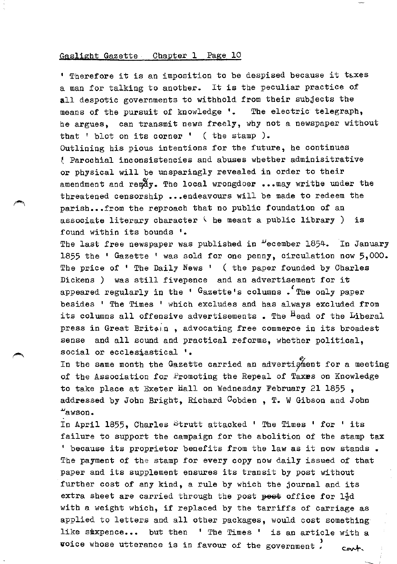<sup>1</sup> Therefore it is an imposition to be despised because it taxes a man for talking to another. It is the peculiar practice of all despotic governments to withhold from their subjects the means of the pursuit of knowledge '. The electric telegraph, he argues, can transmit news freely, why not a newspaper without that ' blot on its corner ' ( the stamp ). Outlining his pious intentions for the future, he continues <sup>~</sup>Parochial inconsistencies and abuses whether adminisitrative or physical will be unsparingly revealed in order to their amendment and re $pA_y$ . The local wrongdoer ... may writhe under the threatened censorship ••• endeavours will be made to redeem the parish... from the reproach that no public foundation of an associate literary character  $\setminus$  he meant a public library ) is found within its bounds '•

The last free newspaper was published in "ecember 1854. In January 1855 the ' Gazette ' was sold for one penny, circulation now 5,000. The price of ' The Daily News ' ( the paper founded by Charles Dickens ) was still fivepence and an advertisement for it appeared regularly in the ' Gazette's columns .'The only paper besides ' The Times ' which excludes and has always excluded from its columns all offensive advertisements . The <sup>H</sup>ead of the Liberal press in Great Britoin, advocating free commerce in its broadest sense and all sound and practical reforms, whether political, social or ecclesiastical '.

In the same month the Gazette carried an advertigment for a meeting of the Association for Promoting the Repeal of Taxes on Knowledge to take place at Exeter Hall on Wednesday February 21 1855 , addressed by John Bright, Richard Cobden , T. W Gibson and John .uawson.

In April 1855, Charles Strutt attacked ' The Times ' for ' its failure to support the campaign for the abolition of the stamp tax ' because its proprietor benefits from the law as it now stands • The payment of the stamp for every copy now daily issued of that paper and its supplement ensures its transit by post without further cost of any kind, a rule by which the journal and its extra sheet are carried through the post post office for  $1\frac{1}{2}d$ with a weight which, if replaced by the tarriffs of carriage as applied to letters and all other packages, would cost something like sixpence... but then 'The Times ' is an article with a voice whose utterance is in favour of the government.  $\sim$  cant.